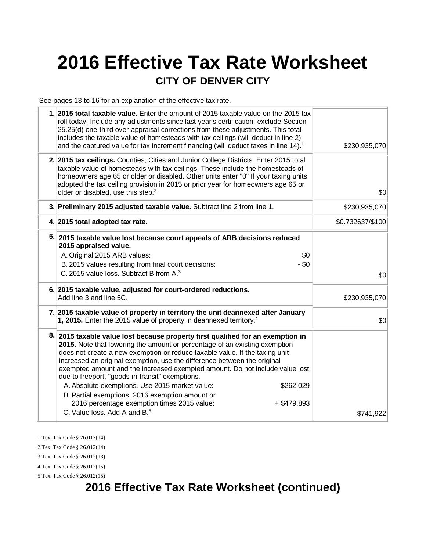# **2016 Effective Tax Rate Worksheet CITY OF DENVER CITY**

See pages 13 to 16 for an explanation of the effective tax rate.

| 1. 2015 total taxable value. Enter the amount of 2015 taxable value on the 2015 tax<br>roll today. Include any adjustments since last year's certification; exclude Section<br>25.25(d) one-third over-appraisal corrections from these adjustments. This total<br>includes the taxable value of homesteads with tax ceilings (will deduct in line 2)<br>and the captured value for tax increment financing (will deduct taxes in line 14). <sup>1</sup>                                                                                                                                                                                      | \$230,935,070    |
|-----------------------------------------------------------------------------------------------------------------------------------------------------------------------------------------------------------------------------------------------------------------------------------------------------------------------------------------------------------------------------------------------------------------------------------------------------------------------------------------------------------------------------------------------------------------------------------------------------------------------------------------------|------------------|
| 2. 2015 tax ceilings. Counties, Cities and Junior College Districts. Enter 2015 total<br>taxable value of homesteads with tax ceilings. These include the homesteads of<br>homeowners age 65 or older or disabled. Other units enter "0" If your taxing units<br>adopted the tax ceiling provision in 2015 or prior year for homeowners age 65 or<br>older or disabled, use this step. <sup>2</sup>                                                                                                                                                                                                                                           | \$0              |
| 3. Preliminary 2015 adjusted taxable value. Subtract line 2 from line 1.                                                                                                                                                                                                                                                                                                                                                                                                                                                                                                                                                                      | \$230,935,070    |
| 4. 2015 total adopted tax rate.                                                                                                                                                                                                                                                                                                                                                                                                                                                                                                                                                                                                               | \$0.732637/\$100 |
| 5. 2015 taxable value lost because court appeals of ARB decisions reduced<br>2015 appraised value.<br>A. Original 2015 ARB values:<br>\$0<br>$-$ \$0<br>B. 2015 values resulting from final court decisions:<br>C. 2015 value loss. Subtract B from A. <sup>3</sup>                                                                                                                                                                                                                                                                                                                                                                           | \$0              |
| 6. 2015 taxable value, adjusted for court-ordered reductions.<br>Add line 3 and line 5C.                                                                                                                                                                                                                                                                                                                                                                                                                                                                                                                                                      | \$230,935,070    |
| 7. 2015 taxable value of property in territory the unit deannexed after January<br>1, 2015. Enter the 2015 value of property in deannexed territory. <sup>4</sup>                                                                                                                                                                                                                                                                                                                                                                                                                                                                             | \$0              |
| 8. 2015 taxable value lost because property first qualified for an exemption in<br>2015. Note that lowering the amount or percentage of an existing exemption<br>does not create a new exemption or reduce taxable value. If the taxing unit<br>increased an original exemption, use the difference between the original<br>exempted amount and the increased exempted amount. Do not include value lost<br>due to freeport, "goods-in-transit" exemptions.<br>A. Absolute exemptions. Use 2015 market value:<br>\$262,029<br>B. Partial exemptions. 2016 exemption amount or<br>2016 percentage exemption times 2015 value:<br>$+$ \$479,893 |                  |
| C. Value loss, Add A and B. <sup>5</sup>                                                                                                                                                                                                                                                                                                                                                                                                                                                                                                                                                                                                      | \$741,922        |
|                                                                                                                                                                                                                                                                                                                                                                                                                                                                                                                                                                                                                                               |                  |

1 Tex. Tax Code § 26.012(14)

2 Tex. Tax Code § 26.012(14)

3 Tex. Tax Code § 26.012(13)

4 Tex. Tax Code § 26.012(15) 5 Tex. Tax Code § 26.012(15)

## **2016 Effective Tax Rate Worksheet (continued)**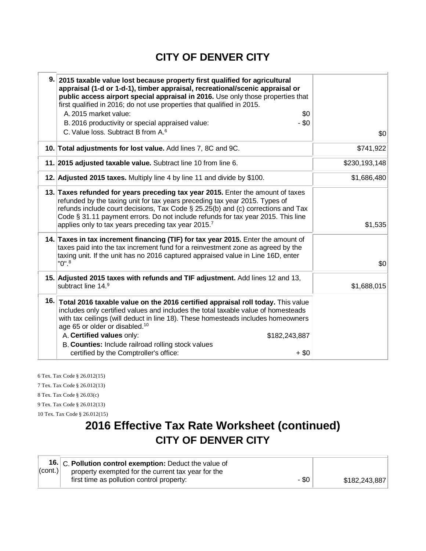### **CITY OF DENVER CITY**

| 9. 2015 taxable value lost because property first qualified for agricultural<br>appraisal (1-d or 1-d-1), timber appraisal, recreational/scenic appraisal or<br>public access airport special appraisal in 2016. Use only those properties that<br>first qualified in 2016; do not use properties that qualified in 2015.<br>A. 2015 market value:<br>\$0<br>$-$ \$0<br>B. 2016 productivity or special appraised value:<br>C. Value loss. Subtract B from A. <sup>6</sup> | \$0           |
|----------------------------------------------------------------------------------------------------------------------------------------------------------------------------------------------------------------------------------------------------------------------------------------------------------------------------------------------------------------------------------------------------------------------------------------------------------------------------|---------------|
| 10. Total adjustments for lost value. Add lines 7, 8C and 9C.                                                                                                                                                                                                                                                                                                                                                                                                              | \$741,922     |
| 11. 2015 adjusted taxable value. Subtract line 10 from line 6.                                                                                                                                                                                                                                                                                                                                                                                                             | \$230,193,148 |
| 12. Adjusted 2015 taxes. Multiply line 4 by line 11 and divide by \$100.                                                                                                                                                                                                                                                                                                                                                                                                   | \$1,686,480   |
| 13. Taxes refunded for years preceding tax year 2015. Enter the amount of taxes<br>refunded by the taxing unit for tax years preceding tax year 2015. Types of<br>refunds include court decisions, Tax Code § 25.25(b) and (c) corrections and Tax<br>Code § 31.11 payment errors. Do not include refunds for tax year 2015. This line<br>applies only to tax years preceding tax year 2015.7                                                                              | \$1,535       |
| 14. Taxes in tax increment financing (TIF) for tax year 2015. Enter the amount of<br>taxes paid into the tax increment fund for a reinvestment zone as agreed by the<br>taxing unit. If the unit has no 2016 captured appraised value in Line 16D, enter<br>$"0"$ . $"$                                                                                                                                                                                                    | \$0           |
| 15. Adjusted 2015 taxes with refunds and TIF adjustment. Add lines 12 and 13,<br>subtract line 14.9                                                                                                                                                                                                                                                                                                                                                                        | \$1,688,015   |
| 16. Total 2016 taxable value on the 2016 certified appraisal roll today. This value<br>includes only certified values and includes the total taxable value of homesteads<br>with tax ceilings (will deduct in line 18). These homesteads includes homeowners<br>age 65 or older or disabled. <sup>10</sup><br>A. Certified values only:<br>\$182,243,887<br>B. Counties: Include railroad rolling stock values<br>certified by the Comptroller's office:<br>$+$ \$0        |               |

6 Tex. Tax Code § 26.012(15) 7 Tex. Tax Code § 26.012(13) 8 Tex. Tax Code § 26.03(c) 9 Tex. Tax Code § 26.012(13) 10 Tex. Tax Code § 26.012(15)

## **2016 Effective Tax Rate Worksheet (continued) CITY OF DENVER CITY**

|         | 16. C. Pollution control exemption: Deduct the value of |         |               |
|---------|---------------------------------------------------------|---------|---------------|
| (cont.) | property exempted for the current tax year for the      |         |               |
|         | first time as pollution control property:               | $-$ \$0 | \$182,243,887 |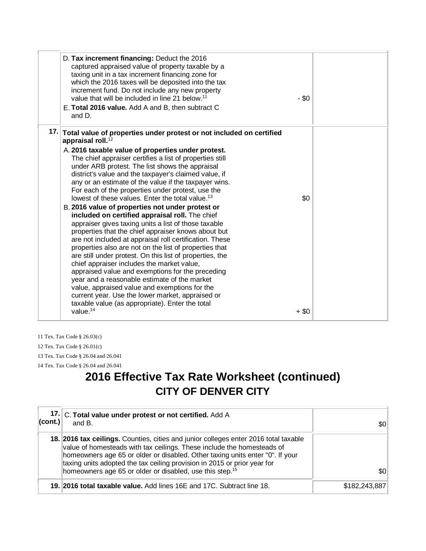| D. Tax increment financing: Deduct the 2016<br>captured appraised value of property taxable by a<br>taxing unit in a tax increment financing zone for<br>which the 2016 taxes will be deposited into the tax<br>increment fund. Do not include any new property<br>value that will be included in line 21 below. <sup>11</sup><br>E. Total 2016 value. Add A and B, then subtract C<br>and D.                                                                                                                                                                                                                                                                                                                                                                                                                                                                    | $-$ \$0 |  |
|------------------------------------------------------------------------------------------------------------------------------------------------------------------------------------------------------------------------------------------------------------------------------------------------------------------------------------------------------------------------------------------------------------------------------------------------------------------------------------------------------------------------------------------------------------------------------------------------------------------------------------------------------------------------------------------------------------------------------------------------------------------------------------------------------------------------------------------------------------------|---------|--|
| 17. Total value of properties under protest or not included on certified<br>appraisal roll. <sup>12</sup><br>A. 2016 taxable value of properties under protest.<br>The chief appraiser certifies a list of properties still<br>under ARB protest. The list shows the appraisal<br>district's value and the taxpayer's claimed value, if<br>any or an estimate of the value if the taxpayer wins.<br>For each of the properties under protest, use the<br>lowest of these values. Enter the total value. <sup>13</sup><br>B. 2016 value of properties not under protest or<br>included on certified appraisal roll. The chief<br>appraiser gives taxing units a list of those taxable<br>properties that the chief appraiser knows about but<br>are not included at appraisal roll certification. These<br>properties also are not on the list of properties that | \$0     |  |
| are still under protest. On this list of properties, the<br>chief appraiser includes the market value,<br>appraised value and exemptions for the preceding<br>year and a reasonable estimate of the market<br>value, appraised value and exemptions for the<br>current year. Use the lower market, appraised or<br>taxable value (as appropriate). Enter the total<br>value. $14$                                                                                                                                                                                                                                                                                                                                                                                                                                                                                | $+$ \$0 |  |

11 Tex. Tax Code § 26.03(c) 12 Tex. Tax Code § 26.01(c) 13 Tex. Tax Code § 26.04 and 26.041 14 Tex. Tax Code § 26.04 and 26.041

# **2016 Effective Tax Rate Worksheet (continued) CITY OF DENVER CITY**

| $ _{\text{(cont.)}} $ | 17. C. Total value under protest or not certified. Add A<br>and B.                                                                                                                                                                                                                                                                                                                                  | \$0∣          |
|-----------------------|-----------------------------------------------------------------------------------------------------------------------------------------------------------------------------------------------------------------------------------------------------------------------------------------------------------------------------------------------------------------------------------------------------|---------------|
|                       | 18. 2016 tax ceilings. Counties, cities and junior colleges enter 2016 total taxable<br>value of homesteads with tax ceilings. These include the homesteads of<br>homeowners age 65 or older or disabled. Other taxing units enter "0". If your<br>taxing units adopted the tax ceiling provision in 2015 or prior year for<br>homeowners age 65 or older or disabled, use this step. <sup>15</sup> | \$0           |
|                       | 19. 2016 total taxable value. Add lines 16E and 17C. Subtract line 18.                                                                                                                                                                                                                                                                                                                              | \$182,243,887 |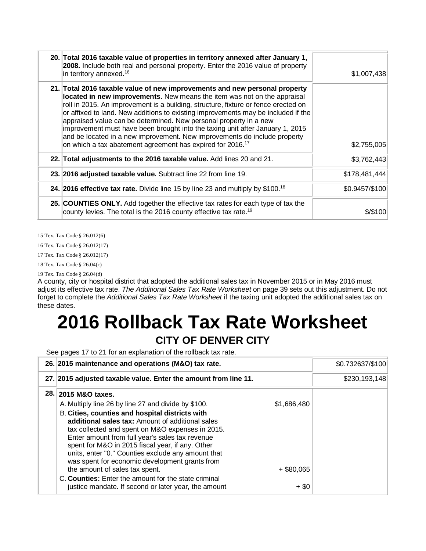| 20. Total 2016 taxable value of properties in territory annexed after January 1,<br>2008. Include both real and personal property. Enter the 2016 value of property<br>in territory annexed. <sup>16</sup>                                                                                                                                                                                                                                                                                                                                                                                                                                     | \$1,007,438    |
|------------------------------------------------------------------------------------------------------------------------------------------------------------------------------------------------------------------------------------------------------------------------------------------------------------------------------------------------------------------------------------------------------------------------------------------------------------------------------------------------------------------------------------------------------------------------------------------------------------------------------------------------|----------------|
| 21. Total 2016 taxable value of new improvements and new personal property<br>located in new improvements. New means the item was not on the appraisal<br>roll in 2015. An improvement is a building, structure, fixture or fence erected on<br>or affixed to land. New additions to existing improvements may be included if the<br>appraised value can be determined. New personal property in a new<br>improvement must have been brought into the taxing unit after January 1, 2015<br>and be located in a new improvement. New improvements do include property<br>on which a tax abatement agreement has expired for 2016. <sup>17</sup> | \$2,755,005    |
| 22. Total adjustments to the 2016 taxable value. Add lines 20 and 21.                                                                                                                                                                                                                                                                                                                                                                                                                                                                                                                                                                          | \$3,762,443    |
| 23. 2016 adjusted taxable value. Subtract line 22 from line 19.                                                                                                                                                                                                                                                                                                                                                                                                                                                                                                                                                                                | \$178,481,444  |
| <b>24. 2016 effective tax rate.</b> Divide line 15 by line 23 and multiply by \$100. <sup>18</sup>                                                                                                                                                                                                                                                                                                                                                                                                                                                                                                                                             | \$0.9457/\$100 |
| 25. COUNTIES ONLY. Add together the effective tax rates for each type of tax the<br>county levies. The total is the 2016 county effective tax rate. <sup>19</sup>                                                                                                                                                                                                                                                                                                                                                                                                                                                                              | \$/\$100       |

15 Tex. Tax Code § 26.012(6)

16 Tex. Tax Code § 26.012(17)

17 Tex. Tax Code § 26.012(17)

18 Tex. Tax Code § 26.04(c)

19 Tex. Tax Code § 26.04(d)

A county, city or hospital district that adopted the additional sales tax in November 2015 or in May 2016 must adjust its effective tax rate. *The Additional Sales Tax Rate Worksheet* on page 39 sets out this adjustment. Do not forget to complete the *Additional Sales Tax Rate Worksheet* if the taxing unit adopted the additional sales tax on these dates.

# **2016 Rollback Tax Rate Worksheet CITY OF DENVER CITY**

See pages 17 to 21 for an explanation of the rollback tax rate.

| 26. 2015 maintenance and operations (M&O) tax rate.             |              | \$0.732637/\$100 |
|-----------------------------------------------------------------|--------------|------------------|
| 27. 2015 adjusted taxable value. Enter the amount from line 11. |              | \$230,193,148    |
| 28. 2015 M&O taxes.                                             |              |                  |
| A. Multiply line 26 by line 27 and divide by \$100.             | \$1,686,480  |                  |
| B. Cities, counties and hospital districts with                 |              |                  |
| additional sales tax: Amount of additional sales                |              |                  |
| tax collected and spent on M&O expenses in 2015.                |              |                  |
| Enter amount from full year's sales tax revenue                 |              |                  |
| spent for M&O in 2015 fiscal year, if any. Other                |              |                  |
| units, enter "0." Counties exclude any amount that              |              |                  |
| was spent for economic development grants from                  |              |                  |
| the amount of sales tax spent.                                  | $+$ \$80,065 |                  |
| C. Counties: Enter the amount for the state criminal            |              |                  |
| justice mandate. If second or later year, the amount            | $+$ \$0      |                  |
|                                                                 |              |                  |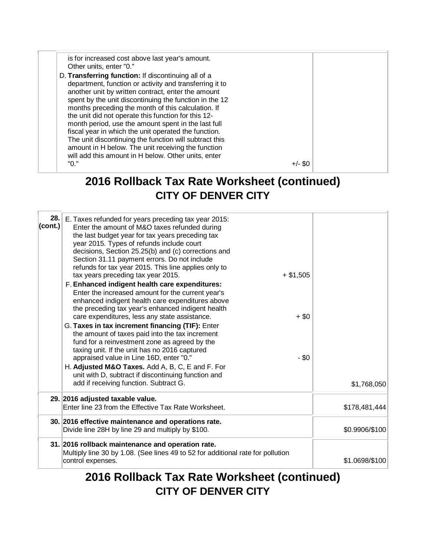is for increased cost above last year's amount. Other units, enter "0." D. **Transferring function:** If discontinuing all of a department, function or activity and transferring it to another unit by written contract, enter the amount spent by the unit discontinuing the function in the 12 months preceding the month of this calculation. If the unit did not operate this function for this 12 month period, use the amount spent in the last full fiscal year in which the unit operated the function. The unit discontinuing the function will subtract this amount in H below. The unit receiving the function will add this amount in H below. Other units, enter  $+/-$  \$0

### **2016 Rollback Tax Rate Worksheet (continued) CITY OF DENVER CITY**

| 28.1<br>(cont.) | E. Taxes refunded for years preceding tax year 2015:<br>Enter the amount of M&O taxes refunded during<br>the last budget year for tax years preceding tax<br>year 2015. Types of refunds include court<br>decisions, Section 25.25(b) and (c) corrections and<br>Section 31.11 payment errors. Do not include<br>refunds for tax year 2015. This line applies only to<br>tax years preceding tax year 2015.<br>$+$ \$1,505<br>F. Enhanced indigent health care expenditures:<br>Enter the increased amount for the current year's<br>enhanced indigent health care expenditures above<br>the preceding tax year's enhanced indigent health<br>care expenditures, less any state assistance.<br>G. Taxes in tax increment financing (TIF): Enter<br>the amount of taxes paid into the tax increment<br>fund for a reinvestment zone as agreed by the<br>taxing unit. If the unit has no 2016 captured<br>appraised value in Line 16D, enter "0."<br>H. Adjusted M&O Taxes. Add A, B, C, E and F. For<br>unit with D, subtract if discontinuing function and | $+$ \$0<br>$-$ \$0 |                |
|-----------------|------------------------------------------------------------------------------------------------------------------------------------------------------------------------------------------------------------------------------------------------------------------------------------------------------------------------------------------------------------------------------------------------------------------------------------------------------------------------------------------------------------------------------------------------------------------------------------------------------------------------------------------------------------------------------------------------------------------------------------------------------------------------------------------------------------------------------------------------------------------------------------------------------------------------------------------------------------------------------------------------------------------------------------------------------------|--------------------|----------------|
|                 | add if receiving function. Subtract G.<br>29. 2016 adjusted taxable value.                                                                                                                                                                                                                                                                                                                                                                                                                                                                                                                                                                                                                                                                                                                                                                                                                                                                                                                                                                                 |                    | \$1,768,050    |
|                 | Enter line 23 from the Effective Tax Rate Worksheet.                                                                                                                                                                                                                                                                                                                                                                                                                                                                                                                                                                                                                                                                                                                                                                                                                                                                                                                                                                                                       |                    | \$178,481,444  |
|                 | 30. 2016 effective maintenance and operations rate.<br>Divide line 28H by line 29 and multiply by \$100.                                                                                                                                                                                                                                                                                                                                                                                                                                                                                                                                                                                                                                                                                                                                                                                                                                                                                                                                                   |                    | \$0.9906/\$100 |
|                 | 31. 2016 rollback maintenance and operation rate.<br>Multiply line 30 by 1.08. (See lines 49 to 52 for additional rate for pollution<br>control expenses.                                                                                                                                                                                                                                                                                                                                                                                                                                                                                                                                                                                                                                                                                                                                                                                                                                                                                                  |                    | \$1.0698/\$100 |

**2016 Rollback Tax Rate Worksheet (continued) CITY OF DENVER CITY**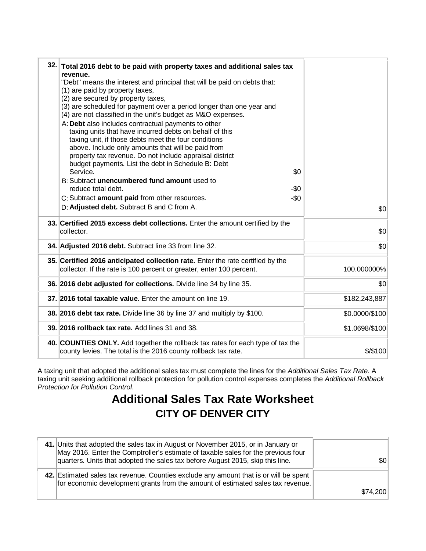| 32. Total 2016 debt to be paid with property taxes and additional sales tax<br>revenue.<br>"Debt" means the interest and principal that will be paid on debts that:<br>(1) are paid by property taxes,<br>(2) are secured by property taxes,<br>(3) are scheduled for payment over a period longer than one year and<br>(4) are not classified in the unit's budget as M&O expenses.<br>A: Debt also includes contractual payments to other<br>taxing units that have incurred debts on behalf of this<br>taxing unit, if those debts meet the four conditions<br>above. Include only amounts that will be paid from<br>property tax revenue. Do not include appraisal district<br>budget payments. List the debt in Schedule B: Debt<br>\$0<br>Service.<br>B: Subtract unencumbered fund amount used to<br>reduce total debt.<br>-\$0<br>$-\$0$<br>C: Subtract amount paid from other resources.<br>D: Adjusted debt. Subtract B and C from A. | \$0            |
|-------------------------------------------------------------------------------------------------------------------------------------------------------------------------------------------------------------------------------------------------------------------------------------------------------------------------------------------------------------------------------------------------------------------------------------------------------------------------------------------------------------------------------------------------------------------------------------------------------------------------------------------------------------------------------------------------------------------------------------------------------------------------------------------------------------------------------------------------------------------------------------------------------------------------------------------------|----------------|
| 33. Certified 2015 excess debt collections. Enter the amount certified by the<br>collector.                                                                                                                                                                                                                                                                                                                                                                                                                                                                                                                                                                                                                                                                                                                                                                                                                                                     | \$0            |
| 34. Adjusted 2016 debt. Subtract line 33 from line 32.                                                                                                                                                                                                                                                                                                                                                                                                                                                                                                                                                                                                                                                                                                                                                                                                                                                                                          | \$0            |
| 35. Certified 2016 anticipated collection rate. Enter the rate certified by the<br>collector. If the rate is 100 percent or greater, enter 100 percent.                                                                                                                                                                                                                                                                                                                                                                                                                                                                                                                                                                                                                                                                                                                                                                                         | 100.000000%    |
| 36. 2016 debt adjusted for collections. Divide line 34 by line 35.                                                                                                                                                                                                                                                                                                                                                                                                                                                                                                                                                                                                                                                                                                                                                                                                                                                                              | \$0            |
| 37. 2016 total taxable value. Enter the amount on line 19.                                                                                                                                                                                                                                                                                                                                                                                                                                                                                                                                                                                                                                                                                                                                                                                                                                                                                      | \$182,243,887  |
| 38. 2016 debt tax rate. Divide line 36 by line 37 and multiply by \$100.                                                                                                                                                                                                                                                                                                                                                                                                                                                                                                                                                                                                                                                                                                                                                                                                                                                                        | \$0.0000/\$100 |
| 39. 2016 rollback tax rate. Add lines 31 and 38.                                                                                                                                                                                                                                                                                                                                                                                                                                                                                                                                                                                                                                                                                                                                                                                                                                                                                                | \$1.0698/\$100 |
| 40. COUNTIES ONLY. Add together the rollback tax rates for each type of tax the<br>county levies. The total is the 2016 county rollback tax rate.                                                                                                                                                                                                                                                                                                                                                                                                                                                                                                                                                                                                                                                                                                                                                                                               | \$/\$100       |

A taxing unit that adopted the additional sales tax must complete the lines for the *Additional Sales Tax Rate*. A taxing unit seeking additional rollback protection for pollution control expenses completes the *Additional Rollback Protection for Pollution Control*.

# **Additional Sales Tax Rate Worksheet CITY OF DENVER CITY**

| 41. Units that adopted the sales tax in August or November 2015, or in January or<br>May 2016. Enter the Comptroller's estimate of taxable sales for the previous four<br>quarters. Units that adopted the sales tax before August 2015, skip this line. | $ 10\rangle$ |
|----------------------------------------------------------------------------------------------------------------------------------------------------------------------------------------------------------------------------------------------------------|--------------|
| 42. Estimated sales tax revenue. Counties exclude any amount that is or will be spent<br>for economic development grants from the amount of estimated sales tax revenue.                                                                                 | \$74,200     |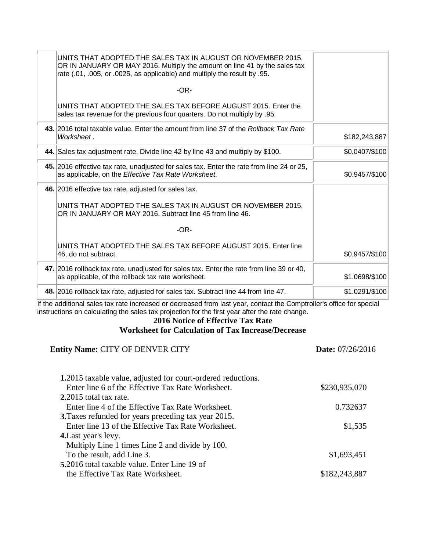| UNITS THAT ADOPTED THE SALES TAX IN AUGUST OR NOVEMBER 2015,<br>OR IN JANUARY OR MAY 2016. Multiply the amount on line 41 by the sales tax<br>rate (.01, .005, or .0025, as applicable) and multiply the result by .95. |                |
|-------------------------------------------------------------------------------------------------------------------------------------------------------------------------------------------------------------------------|----------------|
| $-OR-$                                                                                                                                                                                                                  |                |
| UNITS THAT ADOPTED THE SALES TAX BEFORE AUGUST 2015. Enter the<br>sales tax revenue for the previous four quarters. Do not multiply by .95.                                                                             |                |
| 43. 2016 total taxable value. Enter the amount from line 37 of the Rollback Tax Rate<br>Worksheet.                                                                                                                      | \$182,243,887  |
| 44. Sales tax adjustment rate. Divide line 42 by line 43 and multiply by \$100.                                                                                                                                         | \$0.0407/\$100 |
| 45. 2016 effective tax rate, unadjusted for sales tax. Enter the rate from line 24 or 25,<br>as applicable, on the Effective Tax Rate Worksheet.                                                                        | \$0.9457/\$100 |
| 46. 2016 effective tax rate, adjusted for sales tax.                                                                                                                                                                    |                |
| UNITS THAT ADOPTED THE SALES TAX IN AUGUST OR NOVEMBER 2015.<br>OR IN JANUARY OR MAY 2016. Subtract line 45 from line 46.                                                                                               |                |
| $-OR-$                                                                                                                                                                                                                  |                |
| UNITS THAT ADOPTED THE SALES TAX BEFORE AUGUST 2015. Enter line<br>46, do not subtract.                                                                                                                                 | \$0.9457/\$100 |
| 47. 2016 rollback tax rate, unadjusted for sales tax. Enter the rate from line 39 or 40,<br>as applicable, of the rollback tax rate worksheet.                                                                          | \$1.0698/\$100 |
| 48. 2016 rollback tax rate, adjusted for sales tax. Subtract line 44 from line 47.                                                                                                                                      | \$1.0291/\$100 |

If the additional sales tax rate increased or decreased from last year, contact the Comptroller's office for special instructions on calculating the sales tax projection for the first year after the rate change.

### **2016 Notice of Effective Tax Rate Worksheet for Calculation of Tax Increase/Decrease**

| <b>Entity Name: CITY OF DENVER CITY</b>                      | Date: 07/26/2016 |
|--------------------------------------------------------------|------------------|
| 1.2015 taxable value, adjusted for court-ordered reductions. |                  |
| Enter line 6 of the Effective Tax Rate Worksheet.            | \$230,935,070    |
| 2.2015 total tax rate.                                       |                  |
| Enter line 4 of the Effective Tax Rate Worksheet.            | 0.732637         |
| <b>3.</b> Taxes refunded for years preceding tax year 2015.  |                  |
| Enter line 13 of the Effective Tax Rate Worksheet.           | \$1,535          |
| <b>4.</b> Last year's levy.                                  |                  |
| Multiply Line 1 times Line 2 and divide by 100.              |                  |
| To the result, add Line 3.                                   | \$1,693,451      |
| <b>5.</b> 2016 total taxable value. Enter Line 19 of         |                  |
| the Effective Tax Rate Worksheet.                            | \$182,243,887    |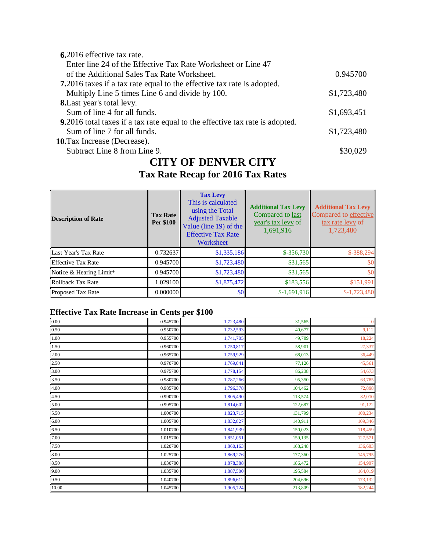| 6.2016 effective tax rate.                                                           |             |
|--------------------------------------------------------------------------------------|-------------|
| Enter line 24 of the Effective Tax Rate Worksheet or Line 47                         |             |
| of the Additional Sales Tax Rate Worksheet.                                          | 0.945700    |
| 7.2016 taxes if a tax rate equal to the effective tax rate is adopted.               |             |
| Multiply Line 5 times Line 6 and divide by 100.                                      | \$1,723,480 |
| <b>8.</b> Last year's total levy.                                                    |             |
| Sum of line 4 for all funds.                                                         | \$1,693,451 |
| <b>9.</b> 2016 total taxes if a tax rate equal to the effective tax rate is adopted. |             |
| Sum of line 7 for all funds.                                                         | \$1,723,480 |
| <b>10.</b> Tax Increase (Decrease).                                                  |             |
| Subtract Line 8 from Line 9.                                                         | \$30.029    |
|                                                                                      |             |

### **CITY OF DENVER CITY Tax Rate Recap for 2016 Tax Rates**

| <b>Description of Rate</b> | <b>Tax Rate</b><br>Per \$100 | <b>Tax Levy</b><br>This is calculated<br>using the Total<br><b>Adjusted Taxable</b><br>Value (line 19) of the<br><b>Effective Tax Rate</b><br>Worksheet | <b>Additional Tax Levy</b><br>Compared to last<br>year's tax levy of<br>1,691,916 | <b>Additional Tax Levy</b><br>Compared to effective<br>tax rate levy of<br>1,723,480 |
|----------------------------|------------------------------|---------------------------------------------------------------------------------------------------------------------------------------------------------|-----------------------------------------------------------------------------------|--------------------------------------------------------------------------------------|
| Last Year's Tax Rate       | 0.732637                     | \$1,335,186                                                                                                                                             | $$-356,730$                                                                       | $$-388,294$                                                                          |
| <b>Effective Tax Rate</b>  | 0.945700                     | \$1,723,480                                                                                                                                             | \$31,565                                                                          | \$0                                                                                  |
| Notice & Hearing Limit*    | 0.945700                     | \$1,723,480                                                                                                                                             | \$31,565                                                                          | \$0                                                                                  |
| Rollback Tax Rate          | 1.029100                     | \$1,875,472                                                                                                                                             | \$183,556                                                                         | \$151,991                                                                            |
| <b>Proposed Tax Rate</b>   | 0.000000                     | \$0 <sub>1</sub>                                                                                                                                        | $$-1,691,916$                                                                     | $$-1,723,480$                                                                        |

### **Effective Tax Rate Increase in Cents per \$100**

| 0.00  | 0.945700 | 1,723,480 | 31,565  | $\bf{0}$ |
|-------|----------|-----------|---------|----------|
| 0.50  | 0.950700 | 1,732,593 | 40,677  | 9,112    |
| 1.00  | 0.955700 | 1,741,705 | 49,789  | 18,224   |
| 1.50  | 0.960700 | 1,750,817 | 58,901  | 27,337   |
| 2.00  | 0.965700 | 1,759,929 | 68,013  | 36,449   |
| 2.50  | 0.970700 | 1,769,041 | 77,126  | 45,561   |
| 3.00  | 0.975700 | 1,778,154 | 86,238  | 54,673   |
| 3.50  | 0.980700 | 1,787,266 | 95,350  | 63,785   |
| 4.00  | 0.985700 | 1,796,378 | 104,462 | 72,898   |
| 4.50  | 0.990700 | 1,805,490 | 113,574 | 82,010   |
| 5.00  | 0.995700 | 1,814,602 | 122,687 | 91,122   |
| 5.50  | 1.000700 | 1,823,715 | 131,799 | 100,234  |
| 6.00  | 1.005700 | 1,832,827 | 140,911 | 109,346  |
| 6.50  | 1.010700 | 1,841,939 | 150,023 | 118,459  |
| 7.00  | 1.015700 | 1,851,051 | 159,135 | 127,571  |
| 7.50  | 1.020700 | 1,860,163 | 168,248 | 136,683  |
| 8.00  | 1.025700 | 1,869,276 | 177,360 | 145,795  |
| 8.50  | 1.030700 | 1,878,388 | 186,472 | 154,907  |
| 9.00  | 1.035700 | 1,887,500 | 195,584 | 164,019  |
| 9.50  | 1.040700 | 1,896,612 | 204,696 | 173,132  |
| 10.00 | 1.045700 | 1,905,724 | 213,809 | 182,244  |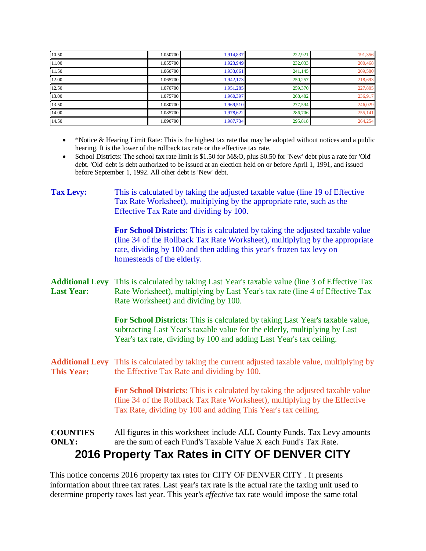| 10.50 | 1.050700 | 1,914,837 | 222,921 | 191,356 |
|-------|----------|-----------|---------|---------|
| 11.00 | 1.055700 | 1,923,949 | 232,033 | 200,468 |
| 11.50 | 1.060700 | 1,933,061 | 241,145 | 209,580 |
| 12.00 | 1.065700 | 1,942,173 | 250,257 | 218,693 |
| 12.50 | 1.070700 | 1,951,285 | 259,370 | 227,805 |
| 13.00 | 1.075700 | 1,960,397 | 268,482 | 236,917 |
| 13.50 | 1.080700 | 1,969,510 | 277,594 | 246,029 |
| 14.00 | 1.085700 | 1,978,622 | 286,706 | 255,141 |
| 14.50 | 1.090700 | 1,987,734 | 295,818 | 264,254 |

- \*Notice & Hearing Limit Rate: This is the highest tax rate that may be adopted without notices and a public hearing. It is the lower of the rollback tax rate or the effective tax rate.
- School Districts: The school tax rate limit is \$1.50 for M&O, plus \$0.50 for 'New' debt plus a rate for 'Old' debt. 'Old' debt is debt authorized to be issued at an election held on or before April 1, 1991, and issued before September 1, 1992. All other debt is 'New' debt.

| <b>Tax Levy:</b>                            | This is calculated by taking the adjusted taxable value (line 19 of Effective<br>Tax Rate Worksheet), multiplying by the appropriate rate, such as the<br>Effective Tax Rate and dividing by 100.                                                                   |
|---------------------------------------------|---------------------------------------------------------------------------------------------------------------------------------------------------------------------------------------------------------------------------------------------------------------------|
|                                             | For School Districts: This is calculated by taking the adjusted taxable value<br>(line 34 of the Rollback Tax Rate Worksheet), multiplying by the appropriate<br>rate, dividing by 100 and then adding this year's frozen tax levy on<br>homesteads of the elderly. |
| <b>Additional Levy</b><br><b>Last Year:</b> | This is calculated by taking Last Year's taxable value (line 3 of Effective Tax<br>Rate Worksheet), multiplying by Last Year's tax rate (line 4 of Effective Tax<br>Rate Worksheet) and dividing by 100.                                                            |
|                                             | For School Districts: This is calculated by taking Last Year's taxable value,<br>subtracting Last Year's taxable value for the elderly, multiplying by Last<br>Year's tax rate, dividing by 100 and adding Last Year's tax ceiling.                                 |
| <b>Additional Levy</b><br><b>This Year:</b> | This is calculated by taking the current adjusted taxable value, multiplying by<br>the Effective Tax Rate and dividing by 100.                                                                                                                                      |
|                                             | For School Districts: This is calculated by taking the adjusted taxable value<br>(line 34 of the Rollback Tax Rate Worksheet), multiplying by the Effective<br>Tax Rate, dividing by 100 and adding This Year's tax ceiling.                                        |
| <b>COUNTIES</b><br><b>ONLY:</b>             | All figures in this worksheet include ALL County Funds. Tax Levy amounts<br>are the sum of each Fund's Taxable Value X each Fund's Tax Rate.<br>2016 Property Tax Rates in CITY OF DENVER CITY                                                                      |

This notice concerns 2016 property tax rates for CITY OF DENVER CITY . It presents information about three tax rates. Last year's tax rate is the actual rate the taxing unit used to determine property taxes last year. This year's *effective* tax rate would impose the same total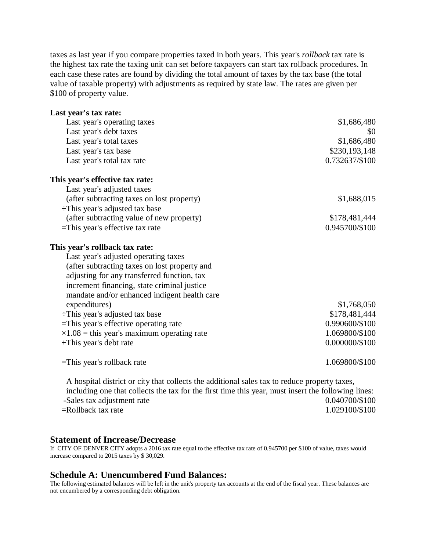taxes as last year if you compare properties taxed in both years. This year's *rollback* tax rate is the highest tax rate the taxing unit can set before taxpayers can start tax rollback procedures. In each case these rates are found by dividing the total amount of taxes by the tax base (the total value of taxable property) with adjustments as required by state law. The rates are given per \$100 of property value.

| Last year's tax rate:                                                                        |                |
|----------------------------------------------------------------------------------------------|----------------|
| Last year's operating taxes                                                                  | \$1,686,480    |
| Last year's debt taxes                                                                       | \$0            |
| Last year's total taxes                                                                      | \$1,686,480    |
| Last year's tax base                                                                         | \$230,193,148  |
| Last year's total tax rate                                                                   | 0.732637/\$100 |
| This year's effective tax rate:                                                              |                |
| Last year's adjusted taxes                                                                   |                |
| (after subtracting taxes on lost property)                                                   | \$1,688,015    |
| $\div$ This year's adjusted tax base                                                         |                |
| (after subtracting value of new property)                                                    | \$178,481,444  |
| $=$ This year's effective tax rate                                                           | 0.945700/\$100 |
| This year's rollback tax rate:                                                               |                |
| Last year's adjusted operating taxes                                                         |                |
| (after subtracting taxes on lost property and                                                |                |
| adjusting for any transferred function, tax                                                  |                |
| increment financing, state criminal justice                                                  |                |
| mandate and/or enhanced indigent health care                                                 |                |
| expenditures)                                                                                | \$1,768,050    |
| :This year's adjusted tax base                                                               | \$178,481,444  |
| =This year's effective operating rate                                                        | 0.990600/\$100 |
| $\times 1.08$ = this year's maximum operating rate                                           | 1.069800/\$100 |
| +This year's debt rate                                                                       | 0.000000/\$100 |
| $=$ This year's rollback rate                                                                | 1.069800/\$100 |
| A hospital district or city that collects the additional sales tax to reduce property taxes, |                |

including one that collects the tax for the first time this year, must insert the following lines: -Sales tax adjustment rate 0.040700/\$100 =Rollback tax rate 1.029100/\$100

#### **Statement of Increase/Decrease**

If CITY OF DENVER CITY adopts a 2016 tax rate equal to the effective tax rate of 0.945700 per \$100 of value, taxes would increase compared to 2015 taxes by \$ 30,029.

#### **Schedule A: Unencumbered Fund Balances:**

The following estimated balances will be left in the unit's property tax accounts at the end of the fiscal year. These balances are not encumbered by a corresponding debt obligation.